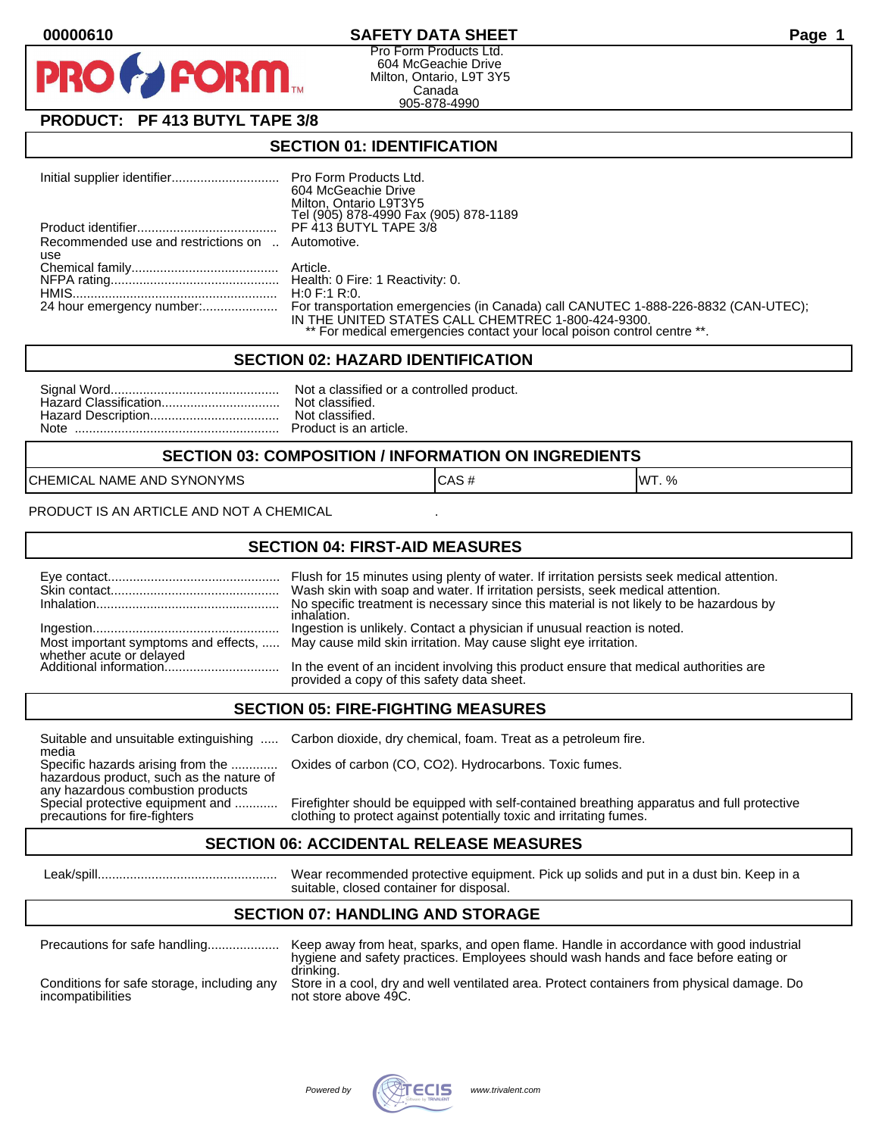

Pro Form Products Ltd. 604 McGeachie Drive Milton, Ontario, L9T 3Y5 Canada 905-878-4990

# **PRODUCT: PF 413 BUTYL TAPE 3/8**

**FORM** 

#### **SECTION 01: IDENTIFICATION**

|                                                  | 604 McGeachie Drive<br>Milton, Ontario L9T3Y5<br>Tel (905) 878-4990 Fax (905) 878-1189                                        |
|--------------------------------------------------|-------------------------------------------------------------------------------------------------------------------------------|
|                                                  |                                                                                                                               |
| Recommended use and restrictions on  Automotive. |                                                                                                                               |
| use                                              |                                                                                                                               |
|                                                  |                                                                                                                               |
|                                                  |                                                                                                                               |
|                                                  |                                                                                                                               |
|                                                  | IN THE UNITED STATES CALL CHEMTREC 1-800-424-9300.<br>** For medical emergencies contact your local poison control centre **. |

#### **SECTION 02: HAZARD IDENTIFICATION**

#### **SECTION 03: COMPOSITION / INFORMATION ON INGREDIENTS**

CHEMICAL NAME AND SYNONYMS CASE CAS # CAS # WT. %

PRODUCT IS AN ARTICLE AND NOT A CHEMICAL

### **SECTION 04: FIRST-AID MEASURES**

|                                                    | Wash skin with soap and water. If irritation persists, seek medical attention.<br>No specific treatment is necessary since this material is not likely to be hazardous by<br>inhalation. |
|----------------------------------------------------|------------------------------------------------------------------------------------------------------------------------------------------------------------------------------------------|
|                                                    | Most important symptoms and effects,  May cause mild skin irritation. May cause slight eye irritation.                                                                                   |
| whether acute or delayed<br>Additional information | In the event of an incident involving this product ensure that medical authorities are<br>provided a copy of this safety data sheet.                                                     |

### **SECTION 05: FIRE-FIGHTING MEASURES**

media<br>Specific hazards arising from the .............

hazardous product, such as the nature of any hazardous combustion products<br>Special protective equipment and ............

Suitable and unsuitable extinguishing ..... Carbon dioxide, dry chemical, foam. Treat as a petroleum fire.

Oxides of carbon (CO, CO2). Hydrocarbons. Toxic fumes.

Special protective equipment and ............ Firefighter should be equipped with self-contained breathing apparatus and full protective<br>precautions for fire-fighters on the clothing to protect against potentially toxic an clothing to protect against potentially toxic and irritating fumes.

### **SECTION 06: ACCIDENTAL RELEASE MEASURES**

 Leak/spill.................................................. Wear recommended protective equipment. Pick up solids and put in a dust bin. Keep in a suitable, closed container for disposal.

# **SECTION 07: HANDLING AND STORAGE**

| Precautions for safe handling                                   | Keep away from heat, sparks, and open flame. Handle in accordance with good industrial<br>hygiene and safety practices. Employees should wash hands and face before eating or |
|-----------------------------------------------------------------|-------------------------------------------------------------------------------------------------------------------------------------------------------------------------------|
| Conditions for safe storage, including any<br>incompatibilities | drinking.<br>Store in a cool, dry and well ventilated area. Protect containers from physical damage. Do<br>not store above 49C.                                               |

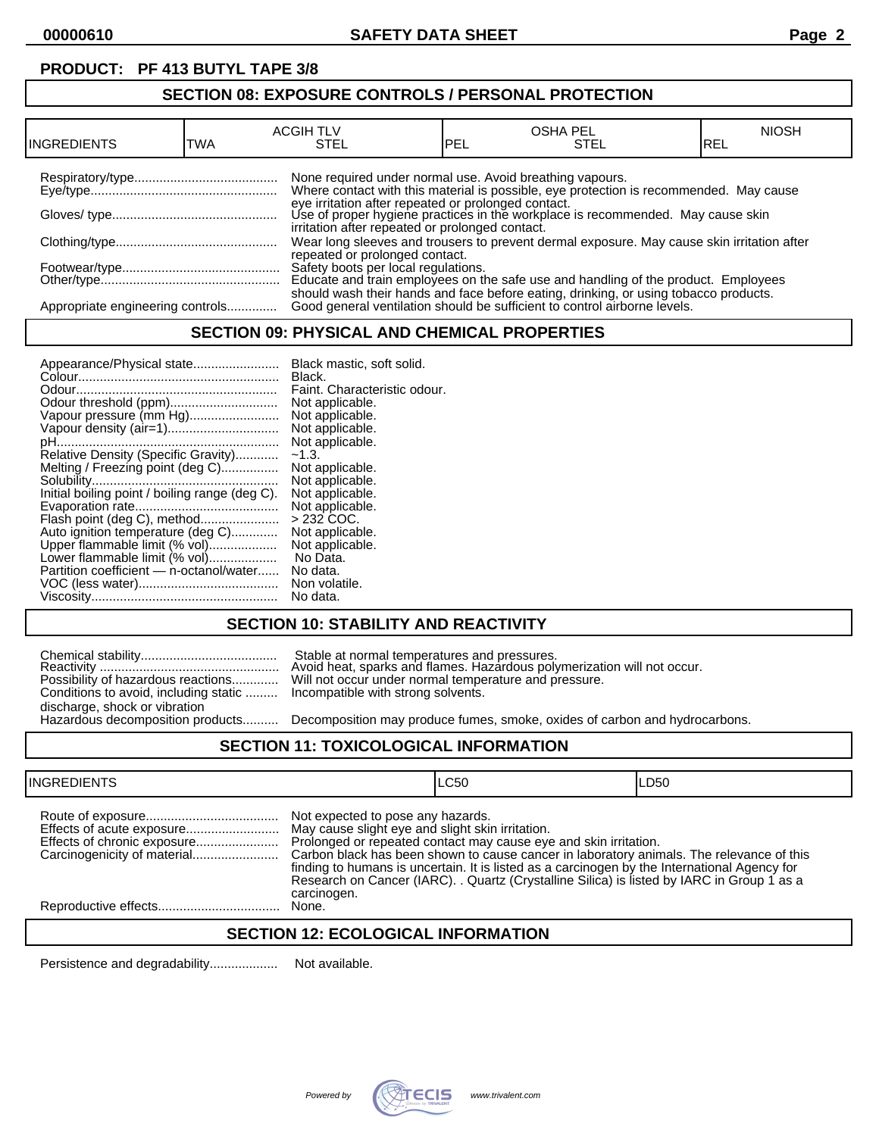# **PRODUCT: PF 413 BUTYL TAPE 3/8**

## **SECTION 08: EXPOSURE CONTROLS / PERSONAL PROTECTION**

| IINGREDIENTS                     | TWA | <b>ACGIH TLV</b><br>STEL                                 | PEL | <b>OSHA PEL</b><br>STEL                                                                                                                                           | <b>NIOSH</b><br>IREL |
|----------------------------------|-----|----------------------------------------------------------|-----|-------------------------------------------------------------------------------------------------------------------------------------------------------------------|----------------------|
|                                  |     | None required under normal use. Avoid breathing vapours. |     | Where contact with this material is possible, eye protection is recommended. May cause                                                                            |                      |
|                                  |     | irritation after repeated or prolonged contact.          |     | eye irritation after repeated or prolonged contact.<br>Use of proper hygiene practices in the workplace is recommended. May cause skin                            |                      |
|                                  |     | repeated or prolonged contact.                           |     | Wear long sleeves and trousers to prevent dermal exposure. May cause skin irritation after                                                                        |                      |
|                                  |     |                                                          |     | Safety boots per local regulations.<br>Educate and train employees on the safe use and handling of the product. Employees                                         |                      |
| Appropriate engineering controls |     |                                                          |     | should wash their hands and face before eating, drinking, or using tobacco products.<br>Good general ventilation should be sufficient to control airborne levels. |                      |

### **SECTION 09: PHYSICAL AND CHEMICAL PROPERTIES**

| Appearance/Physical state                      | Black mastic, soft solid.    |
|------------------------------------------------|------------------------------|
|                                                | Black.                       |
|                                                | Faint. Characteristic odour. |
| Odour threshold (ppm)                          | Not applicable.              |
| Vapour pressure (mm Hg)                        | Not applicable.              |
| Vapour density (air=1)                         | Not applicable.              |
|                                                | Not applicable.              |
| Relative Density (Specific Gravity)            | $-1.3.$                      |
| Melting / Freezing point (deg C)               | Not applicable.              |
|                                                | Not applicable.              |
| Initial boiling point / boiling range (deg C). | Not applicable.              |
|                                                | Not applicable.              |
| Flash point (deg C), method                    | $>232$ COC.                  |
| Auto ignition temperature (deg C)              | Not applicable.              |
| Upper flammable limit (% vol)                  | Not applicable.              |
| Lower flammable limit (% vol)                  | No Data.                     |
| Partition coefficient - n-octanol/water        | No data.                     |
|                                                | Non volatile.                |
|                                                | No data.                     |

# **SECTION 10: STABILITY AND REACTIVITY**

|                                                                           | Stable at normal temperatures and pressures.<br>Avoid heat, sparks and flames. Hazardous poly |
|---------------------------------------------------------------------------|-----------------------------------------------------------------------------------------------|
|                                                                           | Possibility of hazardous reactions Will not occur under normal temperature and pr             |
| Conditions to avoid, including static  Incompatible with strong solvents. |                                                                                               |
| discharge, shock or vibration                                             |                                                                                               |
|                                                                           | Hazardous decomposition products Decomposition may produce fumes. smoke. oxi                  |

Reactivity .................................................. Avoid heat, sparks and flames. Hazardous polymerization will not occur. Possibility of hazardous reactions............. Will not occur under normal temperature and pressure. Incompatible with strong solvents.

Decomposition may produce fumes, smoke, oxides of carbon and hydrocarbons.

### **SECTION 11: TOXICOLOGICAL INFORMATION**

| <b>INGREDIENTS</b>          |                                                                                                      | LC50                                                                                                                                                                                                                                                                                                                                                       | LD50 |
|-----------------------------|------------------------------------------------------------------------------------------------------|------------------------------------------------------------------------------------------------------------------------------------------------------------------------------------------------------------------------------------------------------------------------------------------------------------------------------------------------------------|------|
| Effects of chronic exposure | Not expected to pose any hazards.<br>May cause slight eye and slight skin irritation.<br>carcinogen. | Prolonged or repeated contact may cause eye and skin irritation.<br>Carbon black has been shown to cause cancer in laboratory animals. The relevance of this<br>finding to humans is uncertain. It is listed as a carcinogen by the International Agency for<br>Research on Cancer (IARC). . Quartz (Crystalline Silica) is listed by IARC in Group 1 as a |      |
|                             | None.                                                                                                |                                                                                                                                                                                                                                                                                                                                                            |      |

## **SECTION 12: ECOLOGICAL INFORMATION**

Persistence and degradability................... Not available.